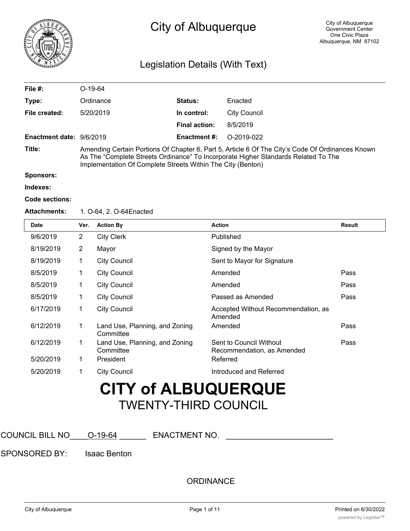

# City of Albuquerque

## Legislation Details (With Text)

| File $#$ :               | $O-19-64$                                                                                                                                                                                                                                             |                      |              |  |
|--------------------------|-------------------------------------------------------------------------------------------------------------------------------------------------------------------------------------------------------------------------------------------------------|----------------------|--------------|--|
| Type:                    | Ordinance                                                                                                                                                                                                                                             | <b>Status:</b>       | Enacted      |  |
| File created:            | 5/20/2019                                                                                                                                                                                                                                             | In control:          | City Council |  |
|                          |                                                                                                                                                                                                                                                       | <b>Final action:</b> | 8/5/2019     |  |
| Enactment date: 9/6/2019 |                                                                                                                                                                                                                                                       | Enactment #:         | $O-2019-022$ |  |
| Title:                   | Amending Certain Portions Of Chapter 6, Part 5, Article 6 Of The City's Code Of Ordinances Known<br>As The "Complete Streets Ordinance" To Incorporate Higher Standards Related To The<br>Implementation Of Complete Streets Within The City (Benton) |                      |              |  |

**Sponsors:**

**Indexes:**

#### **Code sections:**

#### **Attachments:** 1. O-64, 2. O-64Enacted

| <b>Date</b> | Ver.           | <b>Action By</b>                            | <b>Action</b>                                         | Result |
|-------------|----------------|---------------------------------------------|-------------------------------------------------------|--------|
| 9/6/2019    | $\overline{2}$ | <b>City Clerk</b>                           | Published                                             |        |
| 8/19/2019   | $\overline{2}$ | Mayor                                       | Signed by the Mayor                                   |        |
| 8/19/2019   | 1              | <b>City Council</b>                         | Sent to Mayor for Signature                           |        |
| 8/5/2019    | 1              | <b>City Council</b>                         | Amended                                               | Pass   |
| 8/5/2019    | 1              | <b>City Council</b>                         | Amended                                               | Pass   |
| 8/5/2019    | 1              | <b>City Council</b>                         | Passed as Amended                                     | Pass   |
| 6/17/2019   | 1              | <b>City Council</b>                         | Accepted Without Recommendation, as<br>Amended        |        |
| 6/12/2019   | 1              | Land Use, Planning, and Zoning<br>Committee | Amended                                               | Pass   |
| 6/12/2019   | 1              | Land Use, Planning, and Zoning<br>Committee | Sent to Council Without<br>Recommendation, as Amended | Pass   |
| 5/20/2019   | 1              | President                                   | Referred                                              |        |
| 5/20/2019   | 1              | <b>City Council</b>                         | Introduced and Referred                               |        |

# **CITY of ALBUQUERQUE** TWENTY-THIRD COUNCIL

COUNCIL BILL NO  $\overline{O-19-64}$  ENACTMENT NO.

SPONSORED BY: Isaac Benton

**ORDINANCE**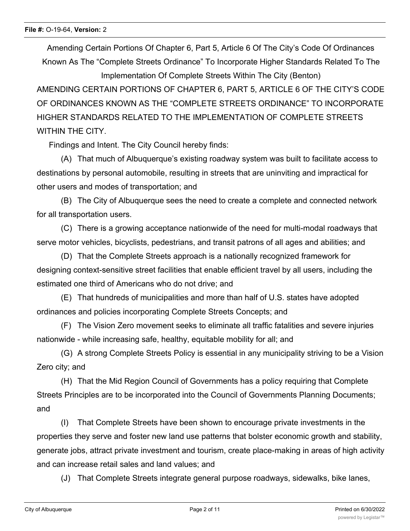Amending Certain Portions Of Chapter 6, Part 5, Article 6 Of The City's Code Of Ordinances Known As The "Complete Streets Ordinance" To Incorporate Higher Standards Related To The Implementation Of Complete Streets Within The City (Benton)

AMENDING CERTAIN PORTIONS OF CHAPTER 6, PART 5, ARTICLE 6 OF THE CITY'S CODE OF ORDINANCES KNOWN AS THE "COMPLETE STREETS ORDINANCE" TO INCORPORATE HIGHER STANDARDS RELATED TO THE IMPLEMENTATION OF COMPLETE STREETS WITHIN THE CITY

Findings and Intent. The City Council hereby finds:

(A) That much of Albuquerque's existing roadway system was built to facilitate access to destinations by personal automobile, resulting in streets that are uninviting and impractical for other users and modes of transportation; and

(B) The City of Albuquerque sees the need to create a complete and connected network for all transportation users.

(C) There is a growing acceptance nationwide of the need for multi-modal roadways that serve motor vehicles, bicyclists, pedestrians, and transit patrons of all ages and abilities; and

(D) That the Complete Streets approach is a nationally recognized framework for designing context-sensitive street facilities that enable efficient travel by all users, including the estimated one third of Americans who do not drive; and

(E) That hundreds of municipalities and more than half of U.S. states have adopted ordinances and policies incorporating Complete Streets Concepts; and

(F) The Vision Zero movement seeks to eliminate all traffic fatalities and severe injuries nationwide - while increasing safe, healthy, equitable mobility for all; and

(G) A strong Complete Streets Policy is essential in any municipality striving to be a Vision Zero city; and

(H) That the Mid Region Council of Governments has a policy requiring that Complete Streets Principles are to be incorporated into the Council of Governments Planning Documents; and

(I) That Complete Streets have been shown to encourage private investments in the properties they serve and foster new land use patterns that bolster economic growth and stability, generate jobs, attract private investment and tourism, create place-making in areas of high activity and can increase retail sales and land values; and

(J) That Complete Streets integrate general purpose roadways, sidewalks, bike lanes,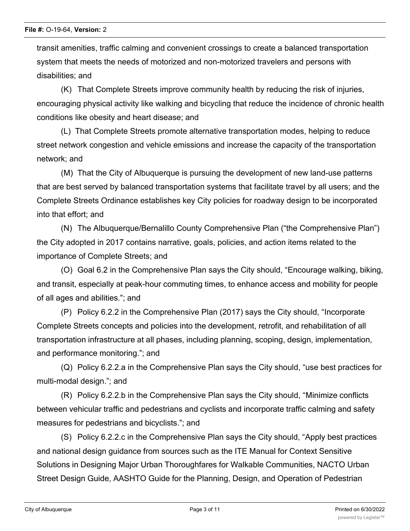transit amenities, traffic calming and convenient crossings to create a balanced transportation system that meets the needs of motorized and non-motorized travelers and persons with disabilities; and

(K) That Complete Streets improve community health by reducing the risk of injuries, encouraging physical activity like walking and bicycling that reduce the incidence of chronic health conditions like obesity and heart disease; and

(L) That Complete Streets promote alternative transportation modes, helping to reduce street network congestion and vehicle emissions and increase the capacity of the transportation network; and

(M) That the City of Albuquerque is pursuing the development of new land-use patterns that are best served by balanced transportation systems that facilitate travel by all users; and the Complete Streets Ordinance establishes key City policies for roadway design to be incorporated into that effort; and

(N) The Albuquerque/Bernalillo County Comprehensive Plan ("the Comprehensive Plan") the City adopted in 2017 contains narrative, goals, policies, and action items related to the importance of Complete Streets; and

(O) Goal 6.2 in the Comprehensive Plan says the City should, "Encourage walking, biking, and transit, especially at peak-hour commuting times, to enhance access and mobility for people of all ages and abilities."; and

(P) Policy 6.2.2 in the Comprehensive Plan (2017) says the City should, "Incorporate Complete Streets concepts and policies into the development, retrofit, and rehabilitation of all transportation infrastructure at all phases, including planning, scoping, design, implementation, and performance monitoring."; and

(Q) Policy 6.2.2.a in the Comprehensive Plan says the City should, "use best practices for multi-modal design."; and

(R) Policy 6.2.2.b in the Comprehensive Plan says the City should, "Minimize conflicts between vehicular traffic and pedestrians and cyclists and incorporate traffic calming and safety measures for pedestrians and bicyclists."; and

(S) Policy 6.2.2.c in the Comprehensive Plan says the City should, "Apply best practices and national design guidance from sources such as the ITE Manual for Context Sensitive Solutions in Designing Major Urban Thoroughfares for Walkable Communities, NACTO Urban Street Design Guide, AASHTO Guide for the Planning, Design, and Operation of Pedestrian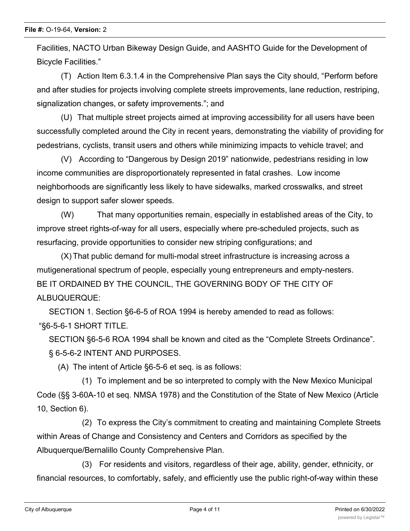Facilities, NACTO Urban Bikeway Design Guide, and AASHTO Guide for the Development of Bicycle Facilities."

(T) Action Item 6.3.1.4 in the Comprehensive Plan says the City should, "Perform before and after studies for projects involving complete streets improvements, lane reduction, restriping, signalization changes, or safety improvements."; and

(U) That multiple street projects aimed at improving accessibility for all users have been successfully completed around the City in recent years, demonstrating the viability of providing for pedestrians, cyclists, transit users and others while minimizing impacts to vehicle travel; and

(V) According to "Dangerous by Design 2019" nationwide, pedestrians residing in low income communities are disproportionately represented in fatal crashes. Low income neighborhoods are significantly less likely to have sidewalks, marked crosswalks, and street design to support safer slower speeds.

(W) That many opportunities remain, especially in established areas of the City, to improve street rights-of-way for all users, especially where pre-scheduled projects, such as resurfacing, provide opportunities to consider new striping configurations; and

(X) That public demand for multi-modal street infrastructure is increasing across a mutigenerational spectrum of people, especially young entrepreneurs and empty-nesters. BE IT ORDAINED BY THE COUNCIL, THE GOVERNING BODY OF THE CITY OF ALBUQUERQUE:

SECTION 1. Section §6-6-5 of ROA 1994 is hereby amended to read as follows: "§6-5-6-1 SHORT TITLE.

SECTION §6-5-6 ROA 1994 shall be known and cited as the "Complete Streets Ordinance". § 6-5-6-2 INTENT AND PURPOSES.

(A) The intent of Article §6-5-6 et seq. is as follows:

(1) To implement and be so interpreted to comply with the New Mexico Municipal Code (§§ 3-60A-10 et seq. NMSA 1978) and the Constitution of the State of New Mexico (Article 10, Section 6).

(2) To express the City's commitment to creating and maintaining Complete Streets within Areas of Change and Consistency and Centers and Corridors as specified by the Albuquerque/Bernalillo County Comprehensive Plan.

(3) For residents and visitors, regardless of their age, ability, gender, ethnicity, or financial resources, to comfortably, safely, and efficiently use the public right-of-way within these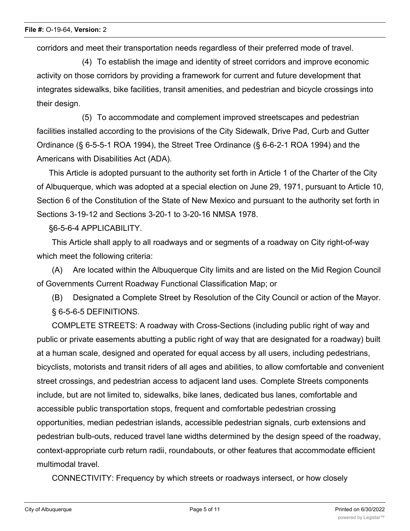corridors and meet their transportation needs regardless of their preferred mode of travel.

(4) To establish the image and identity of street corridors and improve economic activity on those corridors by providing a framework for current and future development that integrates sidewalks, bike facilities, transit amenities, and pedestrian and bicycle crossings into their design.

(5) To accommodate and complement improved streetscapes and pedestrian facilities installed according to the provisions of the City Sidewalk, Drive Pad, Curb and Gutter Ordinance (§ 6-5-5-1 ROA 1994), the Street Tree Ordinance (§ 6-6-2-1 ROA 1994) and the Americans with Disabilities Act (ADA).

This Article is adopted pursuant to the authority set forth in Article 1 of the Charter of the City of Albuquerque, which was adopted at a special election on June 29, 1971, pursuant to Article 10, Section 6 of the Constitution of the State of New Mexico and pursuant to the authority set forth in Sections 3-19-12 and Sections 3-20-1 to 3-20-16 NMSA 1978.

§6-5-6-4 APPLICABILITY.

This Article shall apply to all roadways and or segments of a roadway on City right-of-way which meet the following criteria:

(A) Are located within the Albuquerque City limits and are listed on the Mid Region Council of Governments Current Roadway Functional Classification Map; or

(B) Designated a Complete Street by Resolution of the City Council or action of the Mayor. § 6-5-6-5 DEFINITIONS.

COMPLETE STREETS: A roadway with Cross-Sections (including public right of way and public or private easements abutting a public right of way that are designated for a roadway) built at a human scale, designed and operated for equal access by all users, including pedestrians, bicyclists, motorists and transit riders of all ages and abilities, to allow comfortable and convenient street crossings, and pedestrian access to adjacent land uses. Complete Streets components include, but are not limited to, sidewalks, bike lanes, dedicated bus lanes, comfortable and accessible public transportation stops, frequent and comfortable pedestrian crossing opportunities, median pedestrian islands, accessible pedestrian signals, curb extensions and pedestrian bulb-outs, reduced travel lane widths determined by the design speed of the roadway, context-appropriate curb return radii, roundabouts, or other features that accommodate efficient multimodal travel.

CONNECTIVITY: Frequency by which streets or roadways intersect, or how closely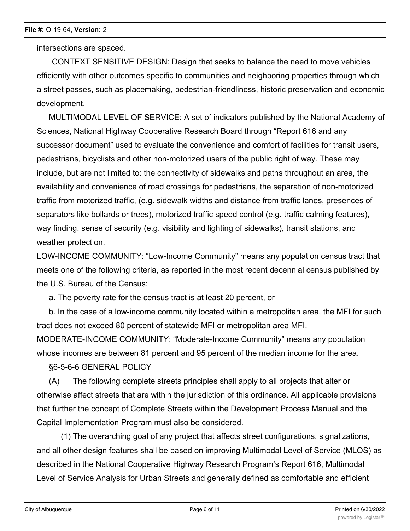intersections are spaced.

CONTEXT SENSITIVE DESIGN: Design that seeks to balance the need to move vehicles efficiently with other outcomes specific to communities and neighboring properties through which a street passes, such as placemaking, pedestrian-friendliness, historic preservation and economic development.

MULTIMODAL LEVEL OF SERVICE: A set of indicators published by the National Academy of Sciences, National Highway Cooperative Research Board through "Report 616 and any successor document" used to evaluate the convenience and comfort of facilities for transit users, pedestrians, bicyclists and other non-motorized users of the public right of way. These may include, but are not limited to: the connectivity of sidewalks and paths throughout an area, the availability and convenience of road crossings for pedestrians, the separation of non-motorized traffic from motorized traffic, (e.g. sidewalk widths and distance from traffic lanes, presences of separators like bollards or trees), motorized traffic speed control (e.g. traffic calming features), way finding, sense of security (e.g. visibility and lighting of sidewalks), transit stations, and weather protection.

LOW-INCOME COMMUNITY: "Low-Income Community" means any population census tract that meets one of the following criteria, as reported in the most recent decennial census published by the U.S. Bureau of the Census:

a. The poverty rate for the census tract is at least 20 percent, or

b. In the case of a low-income community located within a metropolitan area, the MFI for such tract does not exceed 80 percent of statewide MFI or metropolitan area MFI. MODERATE-INCOME COMMUNITY: "Moderate-Income Community" means any population whose incomes are between 81 percent and 95 percent of the median income for the area.

§6-5-6-6 GENERAL POLICY

(A) The following complete streets principles shall apply to all projects that alter or otherwise affect streets that are within the jurisdiction of this ordinance. All applicable provisions that further the concept of Complete Streets within the Development Process Manual and the Capital Implementation Program must also be considered.

(1) The overarching goal of any project that affects street configurations, signalizations, and all other design features shall be based on improving Multimodal Level of Service (MLOS) as described in the National Cooperative Highway Research Program's Report 616, Multimodal Level of Service Analysis for Urban Streets and generally defined as comfortable and efficient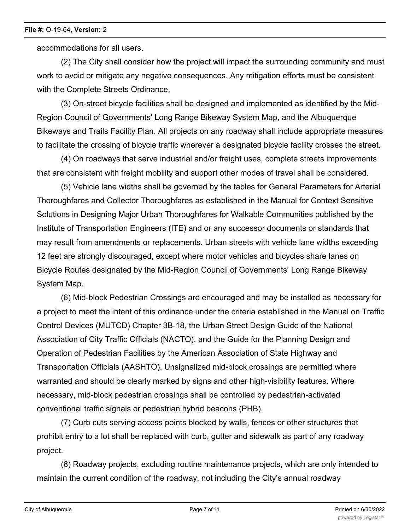accommodations for all users.

(2) The City shall consider how the project will impact the surrounding community and must work to avoid or mitigate any negative consequences. Any mitigation efforts must be consistent with the Complete Streets Ordinance.

(3) On-street bicycle facilities shall be designed and implemented as identified by the Mid-Region Council of Governments' Long Range Bikeway System Map, and the Albuquerque Bikeways and Trails Facility Plan. All projects on any roadway shall include appropriate measures to facilitate the crossing of bicycle traffic wherever a designated bicycle facility crosses the street.

(4) On roadways that serve industrial and/or freight uses, complete streets improvements that are consistent with freight mobility and support other modes of travel shall be considered.

(5) Vehicle lane widths shall be governed by the tables for General Parameters for Arterial Thoroughfares and Collector Thoroughfares as established in the Manual for Context Sensitive Solutions in Designing Major Urban Thoroughfares for Walkable Communities published by the Institute of Transportation Engineers (ITE) and or any successor documents or standards that may result from amendments or replacements. Urban streets with vehicle lane widths exceeding 12 feet are strongly discouraged, except where motor vehicles and bicycles share lanes on Bicycle Routes designated by the Mid-Region Council of Governments' Long Range Bikeway System Map.

(6) Mid-block Pedestrian Crossings are encouraged and may be installed as necessary for a project to meet the intent of this ordinance under the criteria established in the Manual on Traffic Control Devices (MUTCD) Chapter 3B-18, the Urban Street Design Guide of the National Association of City Traffic Officials (NACTO), and the Guide for the Planning Design and Operation of Pedestrian Facilities by the American Association of State Highway and Transportation Officials (AASHTO). Unsignalized mid-block crossings are permitted where warranted and should be clearly marked by signs and other high-visibility features. Where necessary, mid-block pedestrian crossings shall be controlled by pedestrian-activated conventional traffic signals or pedestrian hybrid beacons (PHB).

(7) Curb cuts serving access points blocked by walls, fences or other structures that prohibit entry to a lot shall be replaced with curb, gutter and sidewalk as part of any roadway project.

(8) Roadway projects, excluding routine maintenance projects, which are only intended to maintain the current condition of the roadway, not including the City's annual roadway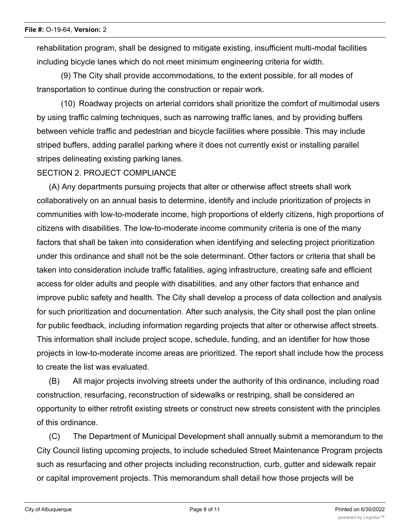rehabilitation program, shall be designed to mitigate existing, insufficient multi-modal facilities including bicycle lanes which do not meet minimum engineering criteria for width.

(9) The City shall provide accommodations, to the extent possible, for all modes of transportation to continue during the construction or repair work.

(10) Roadway projects on arterial corridors shall prioritize the comfort of multimodal users by using traffic calming techniques, such as narrowing traffic lanes, and by providing buffers between vehicle traffic and pedestrian and bicycle facilities where possible. This may include striped buffers, adding parallel parking where it does not currently exist or installing parallel stripes delineating existing parking lanes.

### SECTION 2. PROJECT COMPLIANCE

(A) Any departments pursuing projects that alter or otherwise affect streets shall work collaboratively on an annual basis to determine, identify and include prioritization of projects in communities with low-to-moderate income, high proportions of elderly citizens, high proportions of citizens with disabilities. The low-to-moderate income community criteria is one of the many factors that shall be taken into consideration when identifying and selecting project prioritization under this ordinance and shall not be the sole determinant. Other factors or criteria that shall be taken into consideration include traffic fatalities, aging infrastructure, creating safe and efficient access for older adults and people with disabilities, and any other factors that enhance and improve public safety and health. The City shall develop a process of data collection and analysis for such prioritization and documentation. After such analysis, the City shall post the plan online for public feedback, including information regarding projects that alter or otherwise affect streets. This information shall include project scope, schedule, funding, and an identifier for how those projects in low-to-moderate income areas are prioritized. The report shall include how the process to create the list was evaluated.

(B) All major projects involving streets under the authority of this ordinance, including road construction, resurfacing, reconstruction of sidewalks or restriping, shall be considered an opportunity to either retrofit existing streets or construct new streets consistent with the principles of this ordinance.

(C) The Department of Municipal Development shall annually submit a memorandum to the City Council listing upcoming projects, to include scheduled Street Maintenance Program projects such as resurfacing and other projects including reconstruction, curb, gutter and sidewalk repair or capital improvement projects. This memorandum shall detail how those projects will be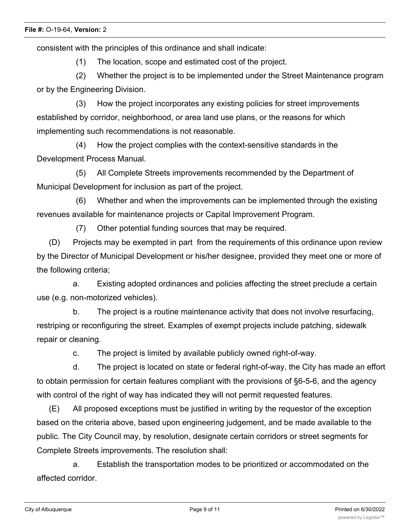consistent with the principles of this ordinance and shall indicate:

(1) The location, scope and estimated cost of the project.

(2) Whether the project is to be implemented under the Street Maintenance program or by the Engineering Division.

(3) How the project incorporates any existing policies for street improvements established by corridor, neighborhood, or area land use plans, or the reasons for which implementing such recommendations is not reasonable.

(4) How the project complies with the context-sensitive standards in the Development Process Manual.

(5) All Complete Streets improvements recommended by the Department of Municipal Development for inclusion as part of the project.

(6) Whether and when the improvements can be implemented through the existing revenues available for maintenance projects or Capital Improvement Program.

(7) Other potential funding sources that may be required.

(D) Projects may be exempted in part from the requirements of this ordinance upon review by the Director of Municipal Development or his/her designee, provided they meet one or more of the following criteria;

a. Existing adopted ordinances and policies affecting the street preclude a certain use (e.g. non-motorized vehicles).

b. The project is a routine maintenance activity that does not involve resurfacing, restriping or reconfiguring the street. Examples of exempt projects include patching, sidewalk repair or cleaning.

c. The project is limited by available publicly owned right-of-way.

d. The project is located on state or federal right-of-way, the City has made an effort to obtain permission for certain features compliant with the provisions of §6-5-6, and the agency with control of the right of way has indicated they will not permit requested features.

(E) All proposed exceptions must be justified in writing by the requestor of the exception based on the criteria above, based upon engineering judgement, and be made available to the public. The City Council may, by resolution, designate certain corridors or street segments for Complete Streets improvements. The resolution shall:

a. Establish the transportation modes to be prioritized or accommodated on the affected corridor.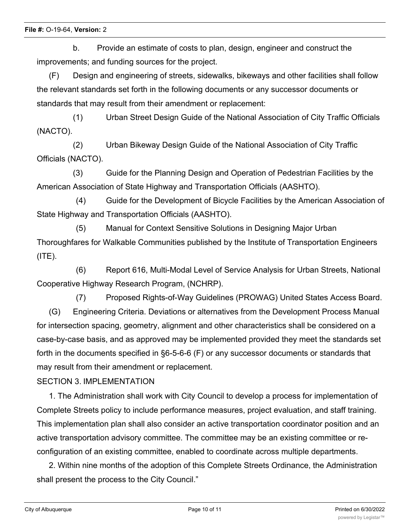b. Provide an estimate of costs to plan, design, engineer and construct the improvements; and funding sources for the project.

(F) Design and engineering of streets, sidewalks, bikeways and other facilities shall follow the relevant standards set forth in the following documents or any successor documents or standards that may result from their amendment or replacement:

(1) Urban Street Design Guide of the National Association of City Traffic Officials (NACTO).

(2) Urban Bikeway Design Guide of the National Association of City Traffic Officials (NACTO).

(3) Guide for the Planning Design and Operation of Pedestrian Facilities by the American Association of State Highway and Transportation Officials (AASHTO).

(4) Guide for the Development of Bicycle Facilities by the American Association of State Highway and Transportation Officials (AASHTO).

(5) Manual for Context Sensitive Solutions in Designing Major Urban Thoroughfares for Walkable Communities published by the Institute of Transportation Engineers  $(ITE).$ 

(6) Report 616, Multi-Modal Level of Service Analysis for Urban Streets, National Cooperative Highway Research Program, (NCHRP).

(7) Proposed Rights-of-Way Guidelines (PROWAG) United States Access Board. (G) Engineering Criteria. Deviations or alternatives from the Development Process Manual for intersection spacing, geometry, alignment and other characteristics shall be considered on a case-by-case basis, and as approved may be implemented provided they meet the standards set forth in the documents specified in §6-5-6-6 (F) or any successor documents or standards that may result from their amendment or replacement.

### SECTION 3. IMPLEMENTATION

1. The Administration shall work with City Council to develop a process for implementation of Complete Streets policy to include performance measures, project evaluation, and staff training. This implementation plan shall also consider an active transportation coordinator position and an active transportation advisory committee. The committee may be an existing committee or reconfiguration of an existing committee, enabled to coordinate across multiple departments.

2. Within nine months of the adoption of this Complete Streets Ordinance, the Administration shall present the process to the City Council."